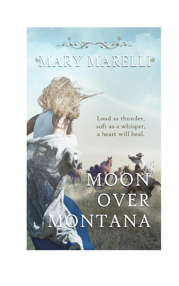# MARY MARELLI

which North

Loud as thunder, soft as a whisper, a heart will heal.

OVER

NTANA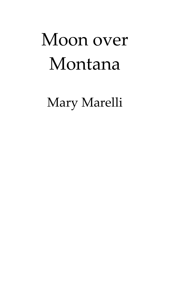# Moon over Montana

Mary Marelli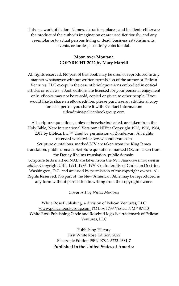This is a work of fiction. Names, characters, places, and incidents either are the product of the author's imagination or are used fictitiously, and any resemblance to actual persons living or dead, business establishments, events, or locales, is entirely coincidental.

#### **Moon over Montana COPYRIGHT 2022 by Mary Marelli**

All rights reserved. No part of this book may be used or reproduced in any manner whatsoever without written permission of the author or Pelican Ventures, LLC except in the case of brief quotations embodied in critical articles or reviews. eBook editions are licensed for your personal enjoyment only. eBooks may not be re-sold, copied or given to other people. If you would like to share an eBook edition, please purchase an additional copy for each person you share it with. Contact Information: titleadmin@pelicanbookgroup.com

All scripture quotations, unless otherwise indicated, are taken from the Holy Bible, New International Version<sup>(R),</sup> NIV<sup>(R),</sup> Copyright 1973, 1978, 1984, 2011 by Biblica, Inc.<sup>™</sup> Used by permission of Zondervan. All rights reserved worldwide. www.zondervan.com Scripture quotations, marked KJV are taken from the King James translation, public domain. Scripture quotations marked DR, are taken from the Douay Rheims translation, public domain. Scripture texts marked NAB are taken from the *New American Bible, revised edition* Copyright 2010, 1991, 1986, 1970 Confraternity of Christian Doctrine, Washington, D.C. and are used by permission of the copyright owner. All Rights Reserved. No part of the New American Bible may be reproduced in any form without permission in writing from the copyright owner.

Cover Art by *Nicola Martinez*

White Rose Publishing, a division of Pelican Ventures, LLC [www.pelicanbookgroup.com](http://www.pelicanbookgroup.com/) PO Box 1738 \*Aztec, NM \* 87410 White Rose Publishing Circle and Rosebud logo is a trademark of Pelican Ventures, LLC

> Publishing History First White Rose Edition, 2022 Electronic Edition ISBN 978-1-5223-0381-7 **Published in the United States of America**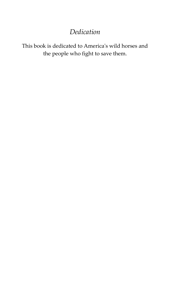### *Dedication*

This book is dedicated to America's wild horses and the people who fight to save them.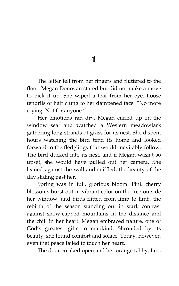**1**

The letter fell from her fingers and fluttered to the floor. Megan Donovan stared but did not make a move to pick it up. She wiped a tear from her eye. Loose tendrils of hair clung to her dampened face. 'No more crying. Not for anyone.'

Her emotions ran dry. Megan curled up on the window seat and watched a Western meadowlark gathering long strands of grass for its nest. She'd spent hours watching the bird tend its home and looked forward to the fledglings that would inevitably follow. The bird ducked into its nest, and if Megan wasn't so upset, she would have pulled out her camera. She leaned against the wall and sniffled, the beauty of the day sliding past her.

Spring was in full, glorious bloom. Pink cherry blossoms burst out in vibrant color on the tree outside her window, and birds flitted from limb to limb, the rebirth of the season standing out in stark contrast against snow-capped mountains in the distance and the chill in her heart. Megan embraced nature, one of God's greatest gifts to mankind. Shrouded by its beauty, she found comfort and solace. Today, however, even that peace failed to touch her heart.

The door creaked open and her orange tabby, Leo,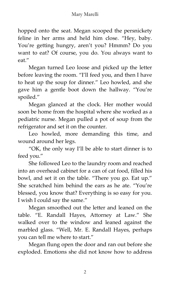hopped onto the seat. Megan scooped the persnickety feline in her arms and held him close. "Hey, baby. You're getting hungry, aren't you? Hmmm? Do you want to eat? Of course, you do. You always want to eat.'

Megan turned Leo loose and picked up the letter before leaving the room. 'I'll feed you, and then I have to heat up the soup for dinner.' Leo howled, and she gave him a gentle boot down the hallway. 'You're spoiled.'

Megan glanced at the clock. Her mother would soon be home from the hospital where she worked as a pediatric nurse. Megan pulled a pot of soup from the refrigerator and set it on the counter.

Leo howled, more demanding this time, and wound around her legs.

'OK, the only way I'll be able to start dinner is to feed you.'

She followed Leo to the laundry room and reached into an overhead cabinet for a can of cat food, filled his bowl, and set it on the table. 'There you go. Eat up.' She scratched him behind the ears as he ate. 'You're blessed, you know that? Everything is so easy for you. I wish I could say the same.'

Megan smoothed out the letter and leaned on the table. 'E. Randall Hayes, Attorney at Law.' She walked over to the window and leaned against the marbled glass. 'Well, Mr. E. Randall Hayes, perhaps you can tell me where to start.'

Megan flung open the door and ran out before she exploded. Emotions she did not know how to address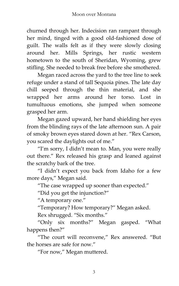churned through her. Indecision ran rampant through her mind, tinged with a good old-fashioned dose of guilt. The walls felt as if they were slowly closing around her. Mills Springs, her rustic western hometown to the south of Sheridan, Wyoming, grew stifling. She needed to break free before she smothered.

Megan raced across the yard to the tree line to seek refuge under a stand of tall Sequoia pines. The late day chill seeped through the thin material, and she wrapped her arms around her torso. Lost in tumultuous emotions, she jumped when someone grasped her arm.

Megan gazed upward, her hand shielding her eyes from the blinding rays of the late afternoon sun. A pair of smoky brown eyes stared down at her. 'Rex Carson, you scared the daylights out of me.'

'I'm sorry, I didn't mean to. Man, you were really out there.' Rex released his grasp and leaned against the scratchy bark of the tree.

'I didn't expect you back from Idaho for a few more days,' Megan said.

'The case wrapped up sooner than expected.'

'Did you get the injunction?'

"A temporary one."

'Temporary? How temporary?' Megan asked.

Rex shrugged. "Six months."

'Only six months?' Megan gasped. 'What happens then?'

'The court will reconvene,' Rex answered. 'But the horses are safe for now.'

'For now,' Megan muttered.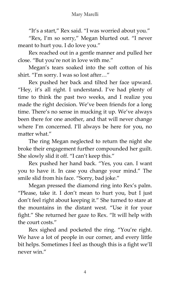'It's a start,' Rex said. 'I was worried about you.'

'Rex, I'm so sorry,' Megan blurted out. 'I never meant to hurt you. I do love you.'

Rex reached out in a gentle manner and pulled her close. 'But you're not in love with me.'

Megan's tears soaked into the soft cotton of his shirt. "I'm sorry. I was so lost after..."

Rex pushed her back and tilted her face upward. 'Hey, it's all right. I understand. I've had plenty of time to think the past two weeks, and I realize you made the right decision. We've been friends for a long time. There's no sense in mucking it up. We've always been there for one another, and that will never change where I'm concerned. I'll always be here for you, no matter what"

The ring Megan neglected to return the night she broke their engagement further compounded her guilt. She slowly slid it off. 'I can't keep this.'

Rex pushed her hand back. 'Yes, you can. I want you to have it. In case you change your mind.' The smile slid from his face. "Sorry, bad joke."

Megan pressed the diamond ring into Rex's palm. 'Please, take it. I don't mean to hurt you, but I just don't feel right about keeping it.' She turned to stare at the mountains in the distant west. 'Use it for your fight.' She returned her gaze to Rex. 'It will help with the court costs.'

Rex sighed and pocketed the ring. 'You're right. We have a lot of people in our corner, and every little bit helps. Sometimes I feel as though this is a fight we'll never win.'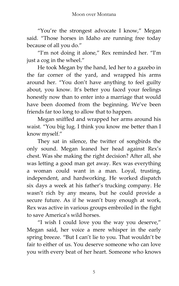'You're the strongest advocate I know,' Megan said. 'Those horses in Idaho are running free today because of all you do.'

'I'm not doing it alone,' Rex reminded her. 'I'm just a cog in the wheel.'

He took Megan by the hand, led her to a gazebo in the far corner of the yard, and wrapped his arms around her. 'You don't have anything to feel guilty about, you know. It's better you faced your feelings honestly now than to enter into a marriage that would have been doomed from the beginning. We've been friends far too long to allow that to happen.

Megan sniffled and wrapped her arms around his waist. 'You big lug. I think you know me better than I know myself.'

They sat in silence, the twitter of songbirds the only sound. Megan leaned her head against Rex's chest. Was she making the right decision? After all, she was letting a good man get away. Rex was everything a woman could want in a man. Loyal, trusting, independent, and hardworking. He worked dispatch six days a week at his father's trucking company. He wasn't rich by any means, but he could provide a secure future. As if he wasn't busy enough at work, Rex was active in various groups embroiled in the fight to save America's wild horses.

'I wish I could love you the way you deserve,' Megan said, her voice a mere whisper in the early spring breeze. 'But I can't lie to you. That wouldn't be fair to either of us. You deserve someone who can love you with every beat of her heart. Someone who knows

5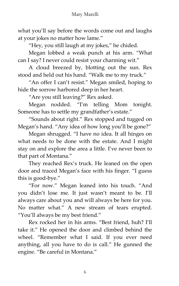what you'll say before the words come out and laughs at your jokes no matter how lame.'

"Hey, you still laugh at my jokes," he chided.

Megan lobbed a weak punch at his arm. 'What can I say? I never could resist your charming wit.'

A cloud breezed by, blotting out the sun. Rex stood and held out his hand. 'Walk me to my truck.'

'An offer I can't resist.' Megan smiled, hoping to hide the sorrow harbored deep in her heart.

'Are you still leaving?' Rex asked.

Megan nodded. 'I'm telling Mom tonight. Someone has to settle my grandfather's estate.'

'Sounds about right.' Rex stopped and tugged on Megan's hand. "Any idea of how long you'll be gone?"

Megan shrugged. 'I have no idea. It all hinges on what needs to be done with the estate. And I might stay on and explore the area a little. I've never been to that part of Montana.'

They reached Rex's truck. He leaned on the open door and traced Megan's face with his finger. 'I guess this is good-bye.'

'For now.' Megan leaned into his touch. 'And you didn't lose me. It just wasn't meant to be. I'll always care about you and will always be here for you. No matter what.' A new stream of tears erupted. 'You'll always be my best friend.'

Rex rocked her in his arms. 'Best friend, huh? I'll take it.' He opened the door and climbed behind the wheel. 'Remember what I said. If you ever need anything, all you have to do is call.' He gunned the engine. 'Be careful in Montana.'

6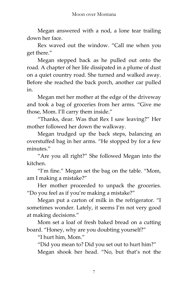Megan answered with a nod, a lone tear trailing down her face.

Rex waved out the window. 'Call me when you get there.'

Megan stepped back as he pulled out onto the road. A chapter of her life dissipated in a plume of dust on a quiet country road. She turned and walked away. Before she reached the back porch, another car pulled in.

Megan met her mother at the edge of the driveway and took a bag of groceries from her arms. 'Give me those, Mom. I'll carry them inside.'

'Thanks, dear. Was that Rex I saw leaving?' Her mother followed her down the walkway.

Megan trudged up the back steps, balancing an overstuffed bag in her arms. 'He stopped by for a few minutes.'

'Are you all right?' She followed Megan into the kitchen.

'I'm fine.' Megan set the bag on the table. 'Mom, am I making a mistake?'

Her mother proceeded to unpack the groceries. 'Do you feel as if you're making a mistake?'

Megan put a carton of milk in the refrigerator. 'I sometimes wonder. Lately, it seems I'm not very good at making decisions.'

Mom set a loaf of fresh baked bread on a cutting board. 'Honey, why are you doubting yourself?'

'I hurt him, Mom.'

'Did you mean to? Did you set out to hurt him?' Megan shook her head. 'No, but that's not the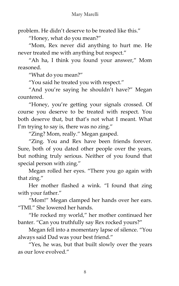problem. He didn't deserve to be treated like this.'

'Honey, what do you mean?'

'Mom, Rex never did anything to hurt me. He never treated me with anything but respect.'

'Ah ha, I think you found your answer,' Mom reasoned.

'What do you mean?'

'You said he treated you with respect.'

'And you're saying he shouldn't have?' Megan countered.

'Honey, you're getting your signals crossed. Of course you deserve to be treated with respect. You both deserve that, but that's not what I meant. What I'm trying to say is, there was no zing."

'Zing? Mom, really.' Megan gasped.

'Zing. You and Rex have been friends forever. Sure, both of you dated other people over the years, but nothing truly serious. Neither of you found that special person with zing.'

Megan rolled her eyes. 'There you go again with that zing.'

Her mother flashed a wink. 'I found that zing with your father.'

"Mom!" Megan clamped her hands over her ears. "TMI." She lowered her hands.

'He rocked my world,' her mother continued her banter. 'Can you truthfully say Rex rocked yours?'

Megan fell into a momentary lapse of silence. 'You always said Dad was your best friend.'

'Yes, he was, but that built slowly over the years as our love evolved.'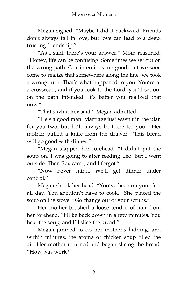Megan sighed. 'Maybe I did it backward. Friends don't always fall in love, but love can lead to a deep, trusting friendship.'

'As I said, there's your answer,' Mom reasoned. 'Honey, life can be confusing. Sometimes we set out on the wrong path. Our intentions are good, but we soon come to realize that somewhere along the line, we took a wrong turn. That's what happened to you. You're at a crossroad, and if you look to the Lord, you'll set out on the path intended. It's better you realized that now"

"That's what Rex said," Megan admitted.

'He's a good man. Marriage just wasn't in the plan for you two, but he'll always be there for you.' Her mother pulled a knife from the drawer. 'This bread will go good with dinner."

'Megan slapped her forehead. 'I didn't put the soup on. I was going to after feeding Leo, but I went outside. Then Rex came, and I forgot.'

'Now never mind. We'll get dinner under control<sup>"</sup>

Megan shook her head. 'You've been on your feet all day. You shouldn't have to cook.' She placed the soup on the stove. "Go change out of your scrubs."

Her mother brushed a loose tendril of hair from her forehead. 'I'll be back down in a few minutes. You heat the soup, and I'll slice the bread.'

Megan jumped to do her mother's bidding, and within minutes, the aroma of chicken soup filled the air. Her mother returned and began slicing the bread. 'How was work?'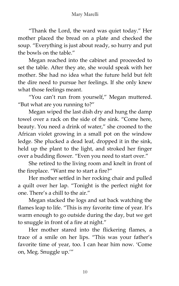'Thank the Lord, the ward was quiet today.' Her mother placed the bread on a plate and checked the soup. 'Everything is just about ready, so hurry and put the bowls on the table.'

Megan reached into the cabinet and proceeded to set the table. After they ate, she would speak with her mother. She had no idea what the future held but felt the dire need to pursue her feelings. If she only knew what those feelings meant.

'You can't run from yourself,' Megan muttered. 'But what are you running to?'

Megan wiped the last dish dry and hung the damp towel over a rack on the side of the sink. 'Come here, beauty. You need a drink of water," she crooned to the African violet growing in a small pot on the window ledge. She plucked a dead leaf, dropped it in the sink, held up the plant to the light, and stroked her finger over a budding flower. 'Even you need to start over.'

She retired to the living room and knelt in front of the fireplace. 'Want me to start a fire?'

Her mother settled in her rocking chair and pulled a quilt over her lap. 'Tonight is the perfect night for one. There's a chill to the air.'

Megan stacked the logs and sat back watching the flames leap to life. 'This is my favorite time of year. It's warm enough to go outside during the day, but we get to snuggle in front of a fire at night.'

Her mother stared into the flickering flames, a trace of a smile on her lips. 'This was your father's favorite time of year, too. I can hear him now. 'Come on, Meg. Snuggle up.''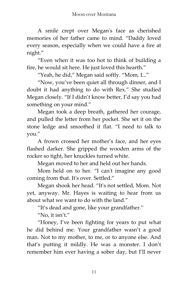A smile crept over Megan's face as cherished memories of her father came to mind. 'Daddy loved every season, especially when we could have a fire at night.'

'Even when it was too hot to think of building a fire, he would sit here. He just loved this hearth.'

"Yeah, he did," Megan said softly. "Mom, I..."

'Now, you've been quiet all through dinner, and I doubt it had anything to do with Rex.' She studied Megan closely. 'If I didn't know better, I'd say you had something on your mind.'

Megan took a deep breath, gathered her courage, and pulled the letter from her pocket. She set it on the stone ledge and smoothed it flat. 'I need to talk to you.'

A frown crossed her mother's face, and her eyes flashed darker. She gripped the wooden arms of the rocker so tight, her knuckles turned white.

Megan moved to her and held out her hands.

Mom held on to her. 'I can't imagine any good coming from that. It's over. Settled.'

Megan shook her head. 'It's not settled, Mom. Not yet, anyway. Mr. Hayes is waiting to hear from us about what we want to do with the land.'

'It's dead and gone, like your grandfather.'

'No, it isn't.'

'Honey, I've been fighting for years to put what he did behind me. Your grandfather wasn't a good man. Not to my mother, to me, or to anyone else. And that's putting it mildly. He was a monster. I don't remember him ever having a sober day, but I'll never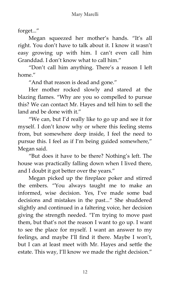forget...'

Megan squeezed her mother's hands. 'It's all right. You don't have to talk about it. I know it wasn't easy growing up with him. I can't even call him Granddad. I don't know what to call him.'

'Don't call him anything. There's a reason I left home.'

'And that reason is dead and gone.'

Her mother rocked slowly and stared at the blazing flames. 'Why are you so compelled to pursue this? We can contact Mr. Hayes and tell him to sell the land and be done with it."

'We can, but I'd really like to go up and see it for myself. I don't know why or where this feeling stems from, but somewhere deep inside, I feel the need to pursue this. I feel as if I'm being guided somewhere,' Megan said.

'But does it have to be there? Nothing's left. The house was practically falling down when I lived there, and I doubt it got better over the years.'

Megan picked up the fireplace poker and stirred the embers. 'You always taught me to make an informed, wise decision. Yes, I've made some bad decisions and mistakes in the past...' She shuddered slightly and continued in a faltering voice, her decision giving the strength needed. 'I'm trying to move past them, but that's not the reason I want to go up. I want to see the place for myself. I want an answer to my feelings, and maybe I'll find it there. Maybe I won't, but I can at least meet with Mr. Hayes and settle the estate. This way, I'll know we made the right decision."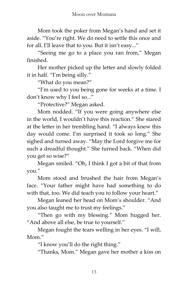Mom took the poker from Megan's hand and set it aside. 'You're right. We do need to settle this once and for all. I'll leave that to you. But it isn't easy...'

'Seeing me go to a place you ran from,' Megan finished.

Her mother picked up the letter and slowly folded it in half. 'I'm being silly.'

'What do you mean?'

'I'm used to you being gone for weeks at a time. I don't know why I feel so...'

'Protective?' Megan asked.

Mom nodded. 'If you were going anywhere else in the world, I wouldn't have this reaction.' She stared at the letter in her trembling hand. 'I always knew this day would come. I'm surprised it took so long.' She sighed and turned away. 'May the Lord forgive me for such a dreadful thought.' She turned back. 'When did you get so wise?'

Megan smiled. 'Oh, I think I got a bit of that from you.'

Mom stood and brushed the hair from Megan's face. 'Your father might have had something to do with that, too. We did teach you to follow your heart."

Megan leaned her head on Mom's shoulder. 'And you also taught me to trust my feelings.'

'Then go with my blessing.' Mom hugged her. "And above all else, be true to yourself."

Megan fought the tears welling in her eyes. 'I will, Mom.'

'I know you'll do the right thing.'

'Thanks, Mom.' Megan gave her mother a kiss on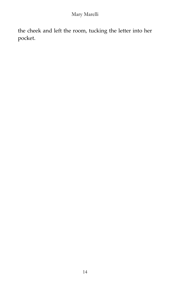#### Mary Marelli

the cheek and left the room, tucking the letter into her pocket.